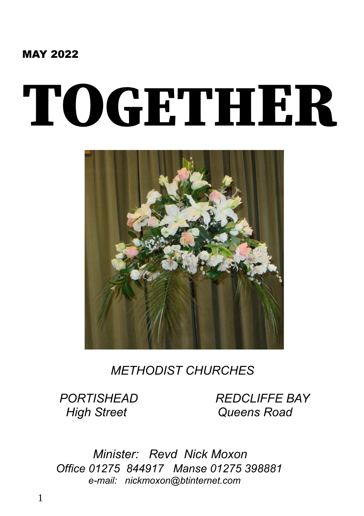#### MAY 2022

# TOGETHER



 *METHODIST CHURCHES*

 *PORTISHEAD REDCLIFFE BAY High Street Queens Road*

 *Minister: Revd Nick Moxon Office 01275 844917 Manse 01275 398881 e-mail: nickmoxon@btinternet.com*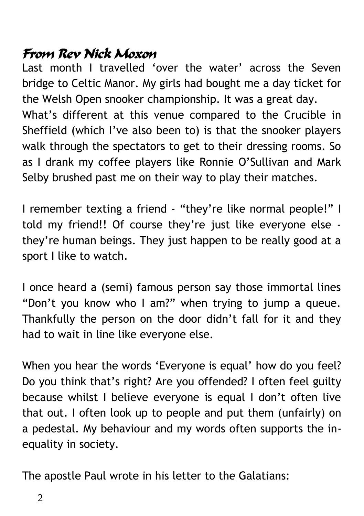# From Rev Nick Moxon

Last month I travelled 'over the water' across the Seven bridge to Celtic Manor. My girls had bought me a day ticket for the Welsh Open snooker championship. It was a great day. What's different at this venue compared to the Crucible in Sheffield (which I've also been to) is that the snooker players walk through the spectators to get to their dressing rooms. So as I drank my coffee players like Ronnie O'Sullivan and Mark Selby brushed past me on their way to play their matches.

I remember texting a friend - "they're like normal people!" I told my friend!! Of course they're just like everyone else they're human beings. They just happen to be really good at a sport I like to watch.

I once heard a (semi) famous person say those immortal lines "Don't you know who I am?" when trying to jump a queue. Thankfully the person on the door didn't fall for it and they had to wait in line like everyone else.

When you hear the words 'Everyone is equal' how do you feel? Do you think that's right? Are you offended? I often feel guilty because whilst I believe everyone is equal I don't often live that out. I often look up to people and put them (unfairly) on a pedestal. My behaviour and my words often supports the inequality in society.

The apostle Paul wrote in his letter to the Galatians: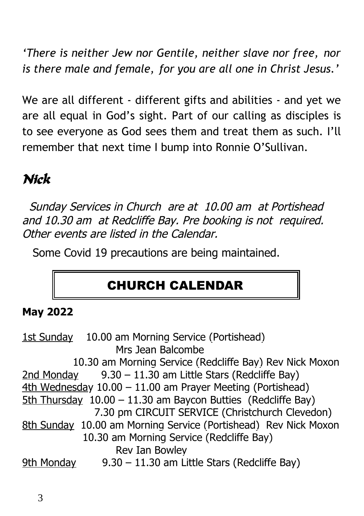*'There is neither Jew nor Gentile, neither slave nor free, nor is there male and female, for you are all one in Christ Jesus.'*

We are all different - different gifts and abilities - and yet we are all equal in God's sight. Part of our calling as disciples is to see everyone as God sees them and treat them as such. I'll remember that next time I bump into Ronnie O'Sullivan.

# Nick

 Sunday Services in Church are at 10.00 am at Portishead and 10.30 am at Redcliffe Bay. Pre booking is not required. Other events are listed in the Calendar.

Some Covid 19 precautions are being maintained.

# CHURCH CALENDAR

# **May 2022**

| 1st Sunday | 10.00 am Morning Service (Portishead)                            |
|------------|------------------------------------------------------------------|
|            | Mrs Jean Balcombe                                                |
|            | 10.30 am Morning Service (Redcliffe Bay) Rev Nick Moxon          |
| 2nd Monday | 9.30 - 11.30 am Little Stars (Redcliffe Bay)                     |
|            | 4th Wednesday 10.00 - 11.00 am Prayer Meeting (Portishead)       |
|            | $5th$ Thursday $10.00 - 11.30$ am Baycon Butties (Redcliffe Bay) |
|            | 7.30 pm CIRCUIT SERVICE (Christchurch Clevedon)                  |
|            | 8th Sunday 10.00 am Morning Service (Portishead) Rev Nick Moxon  |
|            | 10.30 am Morning Service (Redcliffe Bay)                         |
|            | Rev Ian Bowley                                                   |
| 9th Monday | 9.30 - 11.30 am Little Stars (Redcliffe Bay)                     |
|            |                                                                  |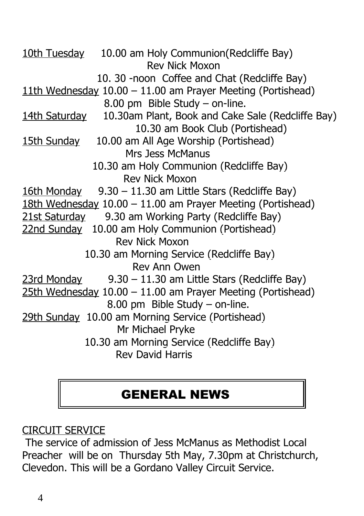10th Tuesday 10.00 am Holy Communion(Redcliffe Bay) Rev Nick Moxon 10. 30 -noon Coffee and Chat (Redcliffe Bay) 11th Wednesday 10.00 – 11.00 am Prayer Meeting (Portishead) 8.00 pm Bible Study – on-line. 14th Saturday 10.30am Plant, Book and Cake Sale (Redcliffe Bay) 10.30 am Book Club (Portishead) 15th Sunday 10.00 am All Age Worship (Portishead) Mrs Jess McManus 10.30 am Holy Communion (Redcliffe Bay) Rev Nick Moxon 16th Monday 9.30 – 11.30 am Little Stars (Redcliffe Bay) 18th Wednesday 10.00 – 11.00 am Prayer Meeting (Portishead) 21st Saturday 9.30 am Working Party (Redcliffe Bay) 22nd Sunday 10.00 am Holy Communion (Portishead) Rev Nick Moxon 10.30 am Morning Service (Redcliffe Bay) Rev Ann Owen 23rd Monday 9.30 – 11.30 am Little Stars (Redcliffe Bay) 25th Wednesday 10.00 – 11.00 am Prayer Meeting (Portishead) 8.00 pm Bible Study – on-line. 29th Sunday 10.00 am Morning Service (Portishead) Mr Michael Pryke 10.30 am Morning Service (Redcliffe Bay) Rev David Harris

# GENERAL NEWS

## CIRCUIT SERVICE

 The service of admission of Jess McManus as Methodist Local Preacher will be on Thursday 5th May, 7.30pm at Christchurch, Clevedon. This will be a Gordano Valley Circuit Service.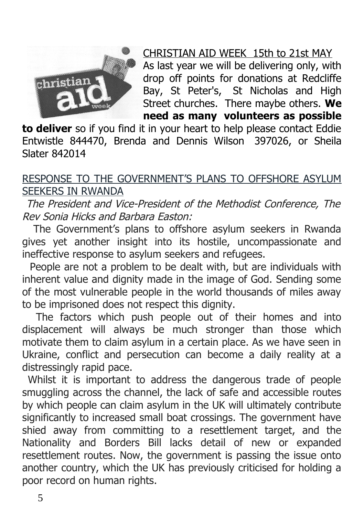

CHRISTIAN AID WEEK 15th to 21st MAY As last year we will be delivering only, with drop off points for donations at Redcliffe Bay, St Peter's, St Nicholas and High Street churches. There maybe others. **We need as many volunteers as possible**

**to deliver** so if you find it in your heart to help please contact Eddie Entwistle 844470, Brenda and Dennis Wilson 397026, or Sheila Slater 842014

## RESPONSE TO THE GOVERNMENT'S PLANS TO OFFSHORE ASYLUM SEEKERS IN RWANDA

The President and Vice-President of the Methodist Conference, The Rev Sonia Hicks and Barbara Easton:

 The Government's plans to offshore asylum seekers in Rwanda gives yet another insight into its hostile, uncompassionate and ineffective response to asylum seekers and refugees.

 People are not a problem to be dealt with, but are individuals with inherent value and dignity made in the image of God. Sending some of the most vulnerable people in the world thousands of miles away to be imprisoned does not respect this dignity.

 The factors which push people out of their homes and into displacement will always be much stronger than those which motivate them to claim asylum in a certain place. As we have seen in Ukraine, conflict and persecution can become a daily reality at a distressingly rapid pace.

 Whilst it is important to address the dangerous trade of people smuggling across the channel, the lack of safe and accessible routes by which people can claim asylum in the UK will ultimately contribute significantly to increased small boat crossings. The government have shied away from committing to a resettlement target, and the Nationality and Borders Bill lacks detail of new or expanded resettlement routes. Now, the government is passing the issue onto another country, which the UK has previously criticised for holding a poor record on human rights.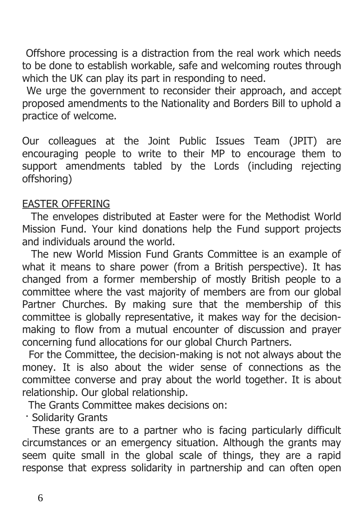Offshore processing is a distraction from the real work which needs to be done to establish workable, safe and welcoming routes through which the UK can play its part in responding to need.

We urge the government to reconsider their approach, and accept proposed amendments to the Nationality and Borders Bill to uphold a practice of welcome.

Our colleagues at the Joint Public Issues Team (JPIT) are encouraging people to write to their MP to encourage them to support amendments tabled by the Lords (including rejecting offshoring)

## EASTER OFFERING

 The envelopes distributed at Easter were for the Methodist World Mission Fund. Your kind donations help the Fund support projects and individuals around the world.

 The new World Mission Fund Grants Committee is an example of what it means to share power (from a British perspective). It has changed from a former membership of mostly British people to a committee where the vast majority of members are from our global Partner Churches. By making sure that the membership of this committee is globally representative, it makes way for the decisionmaking to flow from a mutual encounter of discussion and prayer concerning fund allocations for our global Church Partners.

 For the Committee, the decision-making is not not always about the money. It is also about the wider sense of connections as the committee converse and pray about the world together. It is about relationship. Our global relationship.

The Grants Committee makes decisions on:

· Solidarity Grants

 These grants are to a partner who is facing particularly difficult circumstances or an emergency situation. Although the grants may seem quite small in the global scale of things, they are a rapid response that express solidarity in partnership and can often open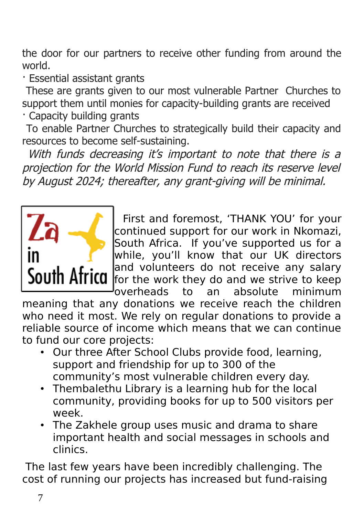the door for our partners to receive other funding from around the world.

· Essential assistant grants

 These are grants given to our most vulnerable Partner Churches to support them until monies for capacity-building grants are received · Capacity building grants

 To enable Partner Churches to strategically build their capacity and resources to become self-sustaining.

With funds decreasing it's important to note that there is a projection for the World Mission Fund to reach its reserve level by August 2024; thereafter, any grant-giving will be minimal.



 First and foremost, 'THANK YOU' for your continued support for our work in Nkomazi, South Africa. If you've supported us for a while, you'll know that our UK directors and volunteers do not receive any salary for the work they do and we strive to keep

overheads to an absolute minimum meaning that any donations we receive reach the children who need it most. We rely on regular donations to provide a reliable source of income which means that we can continue to fund our core projects:

- Our three After School Clubs provide food, learning, support and friendship for up to 300 of the community's most vulnerable children every day.
- Thembalethu Library is a learning hub for the local community, providing books for up to 500 visitors per week.
- The Zakhele group uses music and drama to share important health and social messages in schools and clinics.

 The last few years have been incredibly challenging. The cost of running our projects has increased but fund-raising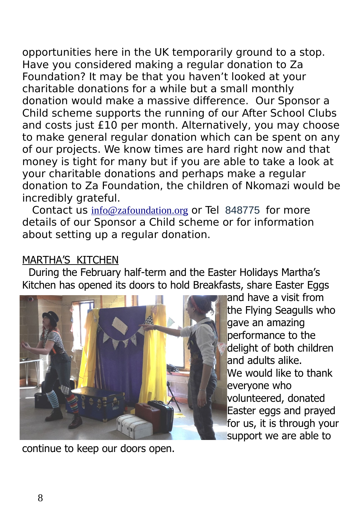opportunities here in the UK temporarily ground to a stop. Have you considered making a regular donation to Za Foundation? It may be that you haven't looked at your charitable donations for a while but a small monthly donation would make a massive difference. Our Sponsor a Child scheme supports the running of our After School Clubs and costs just £10 per month. Alternatively, you may choose to make general regular donation which can be spent on any of our projects. We know times are hard right now and that money is tight for many but if you are able to take a look at your charitable donations and perhaps make a regular donation to Za Foundation, the children of Nkomazi would be incredibly grateful.

 Contact us [info@zafoundation.org](mailto:info@zafoundation.org) or Tel 848775 for more details of our Sponsor a Child scheme or for information about setting up a regular donation.

## MARTHA'S KITCHEN

 During the February half-term and the Easter Holidays Martha's Kitchen has opened its doors to hold Breakfasts, share Easter Eggs



continue to keep our doors open.

and have a visit from the Flying Seagulls who gave an amazing performance to the delight of both children and adults alike. We would like to thank everyone who volunteered, donated Easter eggs and prayed for us, it is through your support we are able to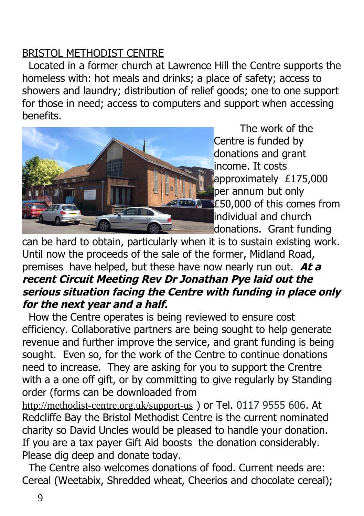# BRISTOL METHODIST CENTRE

 Located in a former church at Lawrence Hill the Centre supports the homeless with: hot meals and drinks; a place of safety; access to showers and laundry; distribution of relief goods; one to one support for those in need; access to computers and support when accessing benefits.



 The work of the Centre is funded by donations and grant income. It costs approximately £175,000 per annum but only £50,000 of this comes from individual and church donations. Grant funding

can be hard to obtain, particularly when it is to sustain existing work. Until now the proceeds of the sale of the former, Midland Road, premises have helped, but these have now nearly run out. **At a recent Circuit Meeting Rev Dr Jonathan Pye laid out the serious situation facing the Centre with funding in place only for the next year and a half.**

 How the Centre operates is being reviewed to ensure cost efficiency. Collaborative partners are being sought to help generate revenue and further improve the service, and grant funding is being sought. Even so, for the work of the Centre to continue donations need to increase. They are asking for you to support the Crentre with a a one off gift, or by committing to give regularly by Standing order (forms can be downloaded from

<http://methodist-centre.org.uk/support-us> ) or Tel. 0117 9555 606. At Redcliffe Bay the Bristol Methodist Centre is the current nominated charity so David Uncles would be pleased to handle your donation. If you are a tax payer Gift Aid boosts the donation considerably. Please dig deep and donate today.

 The Centre also welcomes donations of food. Current needs are: Cereal (Weetabix, Shredded wheat, Cheerios and chocolate cereal);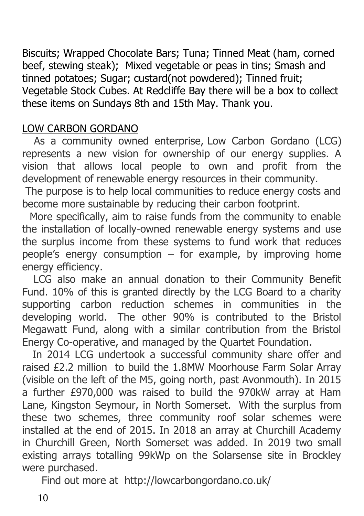Biscuits; Wrapped Chocolate Bars; Tuna; Tinned Meat (ham, corned beef, stewing steak); Mixed vegetable or peas in tins; Smash and tinned potatoes; Sugar; custard(not powdered); Tinned fruit; Vegetable Stock Cubes. At Redcliffe Bay there will be a box to collect these items on Sundays 8th and 15th May. Thank you.

## LOW CARBON GORDANO

 As a community owned enterprise, Low Carbon Gordano (LCG) represents a new vision for ownership of our energy supplies. A vision that allows local people to own and profit from the development of renewable energy resources in their community.

 The purpose is to help local communities to reduce energy costs and become more sustainable by reducing their carbon footprint.

 More specifically, aim to raise funds from the community to enable the installation of locally-owned renewable energy systems and use the surplus income from these systems to fund work that reduces people's energy consumption  $-$  for example, by improving home energy efficiency.

 LCG also make an annual donation to their Community Benefit Fund. 10% of this is granted directly by the LCG Board to a charity supporting carbon reduction schemes in communities in the developing world. The other 90% is contributed to the Bristol Megawatt Fund, along with a similar contribution from the Bristol Energy Co-operative, and managed by the Quartet Foundation.

 In 2014 LCG undertook a successful community share offer and raised £2.2 million to build the 1.8MW Moorhouse Farm Solar Array (visible on the left of the M5, going north, past Avonmouth). In 2015 a further £970,000 was raised to build the 970kW array at Ham Lane, Kingston Seymour, in North Somerset. With the surplus from these two schemes, three community roof solar schemes were installed at the end of 2015. In 2018 an array at Churchill Academy in Churchill Green, North Somerset was added. In 2019 two small existing arrays totalling 99kWp on the Solarsense site in Brockley were purchased.

Find out more at http://lowcarbongordano.co.uk/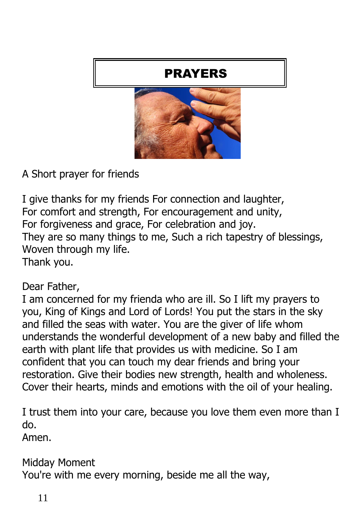

A Short prayer for friends

I give thanks for my friends For connection and laughter, For comfort and strength, For encouragement and unity, For forgiveness and grace, For celebration and joy. They are so many things to me, Such a rich tapestry of blessings, Woven through my life. Thank you.

Dear Father,

I am concerned for my frienda who are ill. So I lift my prayers to you, King of Kings and Lord of Lords! You put the stars in the sky and filled the seas with water. You are the giver of life whom understands the wonderful development of a new baby and filled the earth with plant life that provides us with medicine. So I am confident that you can touch my dear friends and bring your restoration. Give their bodies new strength, health and wholeness. Cover their hearts, minds and emotions with the oil of your healing.

I trust them into your care, because you love them even more than I do.

Amen.

Midday Moment You're with me every morning, beside me all the way,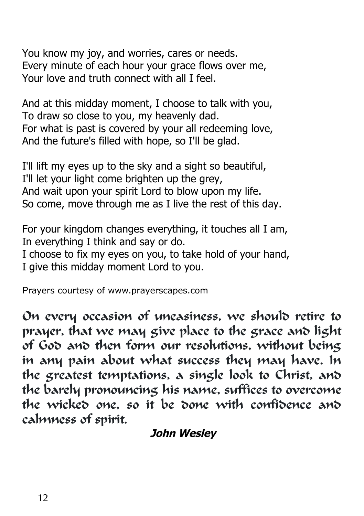You know my joy, and worries, cares or needs. Every minute of each hour your grace flows over me, Your love and truth connect with all I feel.

And at this midday moment, I choose to talk with you, To draw so close to you, my heavenly dad. For what is past is covered by your all redeeming love, And the future's filled with hope, so I'll be glad.

I'll lift my eyes up to the sky and a sight so beautiful, I'll let your light come brighten up the grey, And wait upon your spirit Lord to blow upon my life. So come, move through me as I live the rest of this day.

For your kingdom changes everything, it touches all I am, In everything I think and say or do. I choose to fix my eyes on you, to take hold of your hand, I give this midday moment Lord to you.

Prayers courtesy of www.prayerscapes.com

On every occasion of uneasiness, we should retire to prayer, that we may give place to the grace and light of God and then form our resolutions, without being in any pain about what success they may have. In the greatest temptations, a single look to Christ, and the barely pronouncing his name, suffices to overcome the wicked one, so it be done with confidence and calmness of spirit.

## **John Wesley**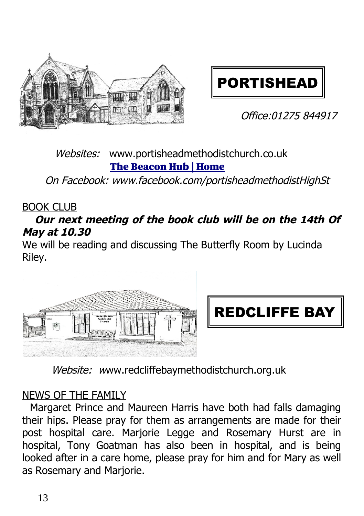



Office:01275 844917

# Websites: www.portisheadmethodistchurch.co.uk [The Beacon Hub | Home](https://www.thebeaconhub.co.uk/)

On Facebook: www.facebook.com/portisheadmethodistHighSt

## BOOK CLUB

 **Our next meeting of the book club will be on the 14th Of May at 10.30**

We will be reading and discussing The Butterfly Room by Lucinda Riley.



REDCLIFFE BAY

Website: [w](http://www.redcliffebaymethodistchurch.org.uk/)[ww.redcliffebaymethodistchurch.org.uk](http://www.redcliffebaymethodistchurch.org.uk/)

#### NEWS OF THE FAMILY

 Margaret Prince and Maureen Harris have both had falls damaging their hips. Please pray for them as arrangements are made for their post hospital care. Marjorie Legge and Rosemary Hurst are in hospital, Tony Goatman has also been in hospital, and is being looked after in a care home, please pray for him and for Mary as well as Rosemary and Marjorie.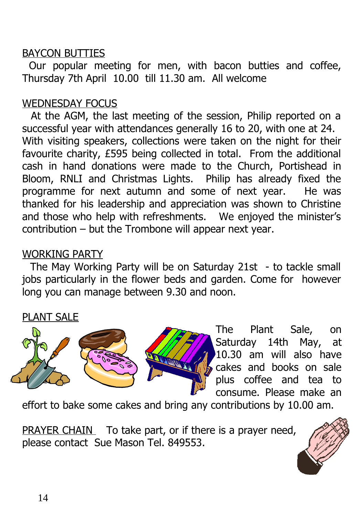## BAYCON BUTTIES

 Our popular meeting for men, with bacon butties and coffee, Thursday 7th April 10.00 till 11.30 am. All welcome

# WEDNESDAY FOCUS

 At the AGM, the last meeting of the session, Philip reported on a successful year with attendances generally 16 to 20, with one at 24. With visiting speakers, collections were taken on the night for their favourite charity, £595 being collected in total. From the additional cash in hand donations were made to the Church, Portishead in Bloom, RNLI and Christmas Lights. Philip has already fixed the programme for next autumn and some of next year. He was thanked for his leadership and appreciation was shown to Christine and those who help with refreshments. We enjoyed the minister's contribution – but the Trombone will appear next year.

# WORKING PARTY

 The May Working Party will be on Saturday 21st - to tackle small jobs particularly in the flower beds and garden. Come for however long you can manage between 9.30 and noon.

# PLANT SALE



The Plant Sale, on Saturday 14th May, at 10.30 am will also have cakes and books on sale plus coffee and tea to consume. Please make an

effort to bake some cakes and bring any contributions by 10.00 am.

PRAYER CHAIN To take part, or if there is a prayer need, please contact Sue Mason Tel. 849553.

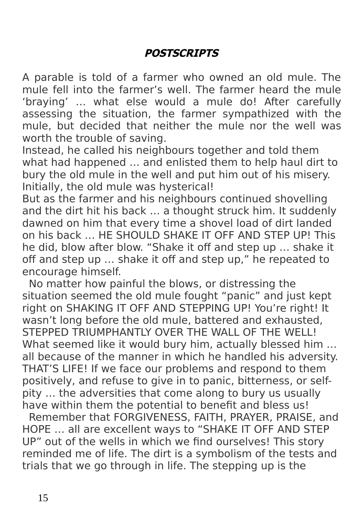## **POSTSCRIPTS**

A parable is told of a farmer who owned an old mule. The mule fell into the farmer's well. The farmer heard the mule 'braying' … what else would a mule do! After carefully assessing the situation, the farmer sympathized with the mule, but decided that neither the mule nor the well was worth the trouble of saving.

Instead, he called his neighbours together and told them what had happened … and enlisted them to help haul dirt to bury the old mule in the well and put him out of his misery. Initially, the old mule was hysterical!

But as the farmer and his neighbours continued shovelling and the dirt hit his back … a thought struck him. It suddenly dawned on him that every time a shovel load of dirt landed on his back … HE SHOULD SHAKE IT OFF AND STEP UP! This he did, blow after blow. "Shake it off and step up … shake it off and step up … shake it off and step up," he repeated to encourage himself.

 No matter how painful the blows, or distressing the situation seemed the old mule fought "panic" and just kept right on SHAKING IT OFF AND STEPPING UP! You're right! It wasn't long before the old mule, battered and exhausted, STEPPED TRIUMPHANTLY OVER THE WALL OF THE WELL! What seemed like it would bury him, actually blessed him … all because of the manner in which he handled his adversity. THAT'S LIFE! If we face our problems and respond to them positively, and refuse to give in to panic, bitterness, or selfpity … the adversities that come along to bury us usually have within them the potential to benefit and bless us!

 Remember that FORGIVENESS, FAITH, PRAYER, PRAISE, and HOPE … all are excellent ways to "SHAKE IT OFF AND STEP UP" out of the wells in which we find ourselves! This story reminded me of life. The dirt is a symbolism of the tests and trials that we go through in life. The stepping up is the